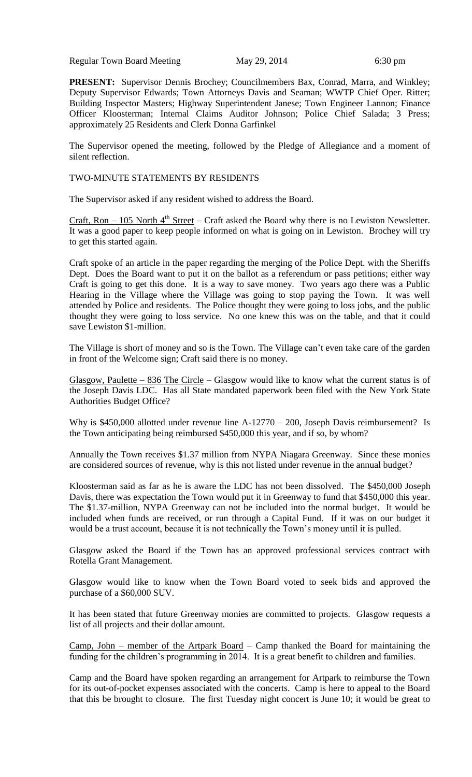Regular Town Board Meeting May 29, 2014 6:30 pm

**PRESENT:** Supervisor Dennis Brochey; Councilmembers Bax, Conrad, Marra, and Winkley; Deputy Supervisor Edwards; Town Attorneys Davis and Seaman; WWTP Chief Oper. Ritter; Building Inspector Masters; Highway Superintendent Janese; Town Engineer Lannon; Finance Officer Kloosterman; Internal Claims Auditor Johnson; Police Chief Salada; 3 Press; approximately 25 Residents and Clerk Donna Garfinkel

The Supervisor opened the meeting, followed by the Pledge of Allegiance and a moment of silent reflection.

### TWO-MINUTE STATEMENTS BY RESIDENTS

The Supervisor asked if any resident wished to address the Board.

Craft, Ron  $-105$  North  $4<sup>th</sup>$  Street – Craft asked the Board why there is no Lewiston Newsletter. It was a good paper to keep people informed on what is going on in Lewiston. Brochey will try to get this started again.

Craft spoke of an article in the paper regarding the merging of the Police Dept. with the Sheriffs Dept. Does the Board want to put it on the ballot as a referendum or pass petitions; either way Craft is going to get this done. It is a way to save money. Two years ago there was a Public Hearing in the Village where the Village was going to stop paying the Town. It was well attended by Police and residents. The Police thought they were going to loss jobs, and the public thought they were going to loss service. No one knew this was on the table, and that it could save Lewiston \$1-million.

The Village is short of money and so is the Town. The Village can't even take care of the garden in front of the Welcome sign; Craft said there is no money.

Glasgow, Paulette – 836 The Circle – Glasgow would like to know what the current status is of the Joseph Davis LDC. Has all State mandated paperwork been filed with the New York State Authorities Budget Office?

Why is \$450,000 allotted under revenue line A-12770 – 200, Joseph Davis reimbursement? Is the Town anticipating being reimbursed \$450,000 this year, and if so, by whom?

Annually the Town receives \$1.37 million from NYPA Niagara Greenway. Since these monies are considered sources of revenue, why is this not listed under revenue in the annual budget?

Kloosterman said as far as he is aware the LDC has not been dissolved. The \$450,000 Joseph Davis, there was expectation the Town would put it in Greenway to fund that \$450,000 this year. The \$1.37-million, NYPA Greenway can not be included into the normal budget. It would be included when funds are received, or run through a Capital Fund. If it was on our budget it would be a trust account, because it is not technically the Town's money until it is pulled.

Glasgow asked the Board if the Town has an approved professional services contract with Rotella Grant Management.

Glasgow would like to know when the Town Board voted to seek bids and approved the purchase of a \$60,000 SUV.

It has been stated that future Greenway monies are committed to projects. Glasgow requests a list of all projects and their dollar amount.

Camp, John – member of the Artpark Board – Camp thanked the Board for maintaining the funding for the children's programming in 2014. It is a great benefit to children and families.

Camp and the Board have spoken regarding an arrangement for Artpark to reimburse the Town for its out-of-pocket expenses associated with the concerts. Camp is here to appeal to the Board that this be brought to closure. The first Tuesday night concert is June 10; it would be great to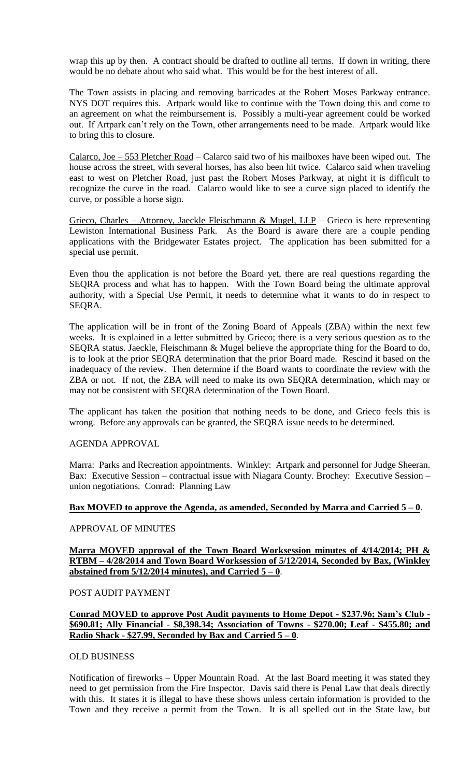wrap this up by then. A contract should be drafted to outline all terms. If down in writing, there would be no debate about who said what. This would be for the best interest of all.

The Town assists in placing and removing barricades at the Robert Moses Parkway entrance. NYS DOT requires this. Artpark would like to continue with the Town doing this and come to an agreement on what the reimbursement is. Possibly a multi-year agreement could be worked out. If Artpark can't rely on the Town, other arrangements need to be made. Artpark would like to bring this to closure.

Calarco, Joe – 553 Pletcher Road – Calarco said two of his mailboxes have been wiped out. The house across the street, with several horses, has also been hit twice. Calarco said when traveling east to west on Pletcher Road, just past the Robert Moses Parkway, at night it is difficult to recognize the curve in the road. Calarco would like to see a curve sign placed to identify the curve, or possible a horse sign.

Grieco, Charles – Attorney, Jaeckle Fleischmann & Mugel, LLP – Grieco is here representing Lewiston International Business Park. As the Board is aware there are a couple pending applications with the Bridgewater Estates project. The application has been submitted for a special use permit.

Even thou the application is not before the Board yet, there are real questions regarding the SEQRA process and what has to happen. With the Town Board being the ultimate approval authority, with a Special Use Permit, it needs to determine what it wants to do in respect to SEQRA.

The application will be in front of the Zoning Board of Appeals (ZBA) within the next few weeks. It is explained in a letter submitted by Grieco; there is a very serious question as to the SEQRA status. Jaeckle, Fleischmann & Mugel believe the appropriate thing for the Board to do, is to look at the prior SEQRA determination that the prior Board made. Rescind it based on the inadequacy of the review. Then determine if the Board wants to coordinate the review with the ZBA or not. If not, the ZBA will need to make its own SEQRA determination, which may or may not be consistent with SEQRA determination of the Town Board.

The applicant has taken the position that nothing needs to be done, and Grieco feels this is wrong. Before any approvals can be granted, the SEQRA issue needs to be determined.

## AGENDA APPROVAL

Marra: Parks and Recreation appointments. Winkley: Artpark and personnel for Judge Sheeran. Bax: Executive Session – contractual issue with Niagara County. Brochey: Executive Session – union negotiations. Conrad: Planning Law

## **Bax MOVED to approve the Agenda, as amended, Seconded by Marra and Carried 5 – 0**.

#### APPROVAL OF MINUTES

### **Marra MOVED approval of the Town Board Worksession minutes of 4/14/2014; PH & RTBM – 4/28/2014 and Town Board Worksession of 5/12/2014, Seconded by Bax, (Winkley abstained from 5/12/2014 minutes), and Carried 5 – 0**.

#### POST AUDIT PAYMENT

## **Conrad MOVED to approve Post Audit payments to Home Depot - \$237.96; Sam's Club - \$690.81; Ally Financial - \$8,398.34; Association of Towns - \$270.00; Leaf - \$455.80; and Radio Shack - \$27.99, Seconded by Bax and Carried 5 – 0**.

## OLD BUSINESS

Notification of fireworks – Upper Mountain Road. At the last Board meeting it was stated they need to get permission from the Fire Inspector. Davis said there is Penal Law that deals directly with this. It states it is illegal to have these shows unless certain information is provided to the Town and they receive a permit from the Town. It is all spelled out in the State law, but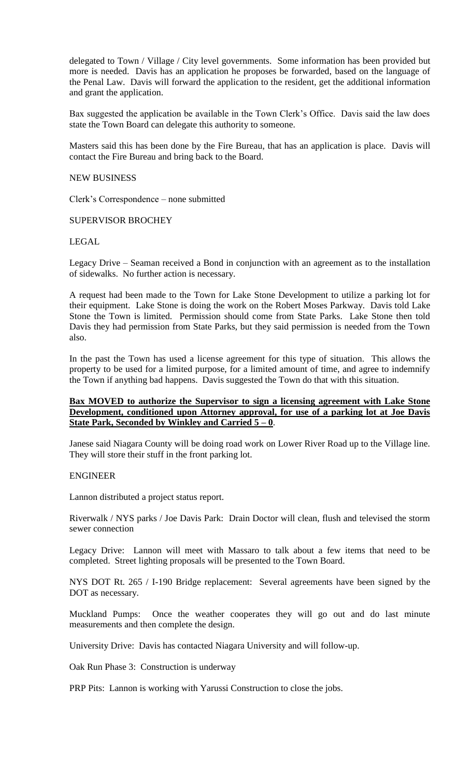delegated to Town / Village / City level governments. Some information has been provided but more is needed. Davis has an application he proposes be forwarded, based on the language of the Penal Law. Davis will forward the application to the resident, get the additional information and grant the application.

Bax suggested the application be available in the Town Clerk's Office. Davis said the law does state the Town Board can delegate this authority to someone.

Masters said this has been done by the Fire Bureau, that has an application is place. Davis will contact the Fire Bureau and bring back to the Board.

### NEW BUSINESS

Clerk's Correspondence – none submitted

### SUPERVISOR BROCHEY

### LEGAL

Legacy Drive – Seaman received a Bond in conjunction with an agreement as to the installation of sidewalks. No further action is necessary.

A request had been made to the Town for Lake Stone Development to utilize a parking lot for their equipment. Lake Stone is doing the work on the Robert Moses Parkway. Davis told Lake Stone the Town is limited. Permission should come from State Parks. Lake Stone then told Davis they had permission from State Parks, but they said permission is needed from the Town also.

In the past the Town has used a license agreement for this type of situation. This allows the property to be used for a limited purpose, for a limited amount of time, and agree to indemnify the Town if anything bad happens. Davis suggested the Town do that with this situation.

### **Bax MOVED to authorize the Supervisor to sign a licensing agreement with Lake Stone Development, conditioned upon Attorney approval, for use of a parking lot at Joe Davis State Park, Seconded by Winkley and Carried 5 – 0**.

Janese said Niagara County will be doing road work on Lower River Road up to the Village line. They will store their stuff in the front parking lot.

#### ENGINEER

Lannon distributed a project status report.

Riverwalk / NYS parks / Joe Davis Park: Drain Doctor will clean, flush and televised the storm sewer connection

Legacy Drive: Lannon will meet with Massaro to talk about a few items that need to be completed. Street lighting proposals will be presented to the Town Board.

NYS DOT Rt. 265 / I-190 Bridge replacement: Several agreements have been signed by the DOT as necessary.

Muckland Pumps: Once the weather cooperates they will go out and do last minute measurements and then complete the design.

University Drive: Davis has contacted Niagara University and will follow-up.

Oak Run Phase 3: Construction is underway

PRP Pits: Lannon is working with Yarussi Construction to close the jobs.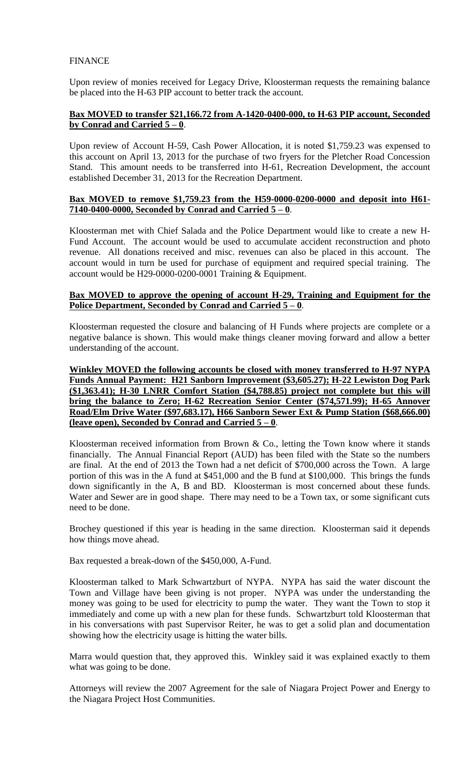# **FINANCE**

Upon review of monies received for Legacy Drive, Kloosterman requests the remaining balance be placed into the H-63 PIP account to better track the account.

# **Bax MOVED to transfer \$21,166.72 from A-1420-0400-000, to H-63 PIP account, Seconded by Conrad and Carried 5 – 0**.

Upon review of Account H-59, Cash Power Allocation, it is noted \$1,759.23 was expensed to this account on April 13, 2013 for the purchase of two fryers for the Pletcher Road Concession Stand. This amount needs to be transferred into H-61, Recreation Development, the account established December 31, 2013 for the Recreation Department.

## **Bax MOVED to remove \$1,759.23 from the H59-0000-0200-0000 and deposit into H61- 7140-0400-0000, Seconded by Conrad and Carried 5 – 0**.

Kloosterman met with Chief Salada and the Police Department would like to create a new H-Fund Account. The account would be used to accumulate accident reconstruction and photo revenue. All donations received and misc. revenues can also be placed in this account. The account would in turn be used for purchase of equipment and required special training. The account would be H29-0000-0200-0001 Training & Equipment.

## **Bax MOVED to approve the opening of account H-29, Training and Equipment for the Police Department, Seconded by Conrad and Carried 5 – 0**.

Kloosterman requested the closure and balancing of H Funds where projects are complete or a negative balance is shown. This would make things cleaner moving forward and allow a better understanding of the account.

**Winkley MOVED the following accounts be closed with money transferred to H-97 NYPA Funds Annual Payment: H21 Sanborn Improvement (\$3,605.27); H-22 Lewiston Dog Park (\$1,363.41); H-30 LNRR Comfort Station (\$4,788.85) project not complete but this will bring the balance to Zero; H-62 Recreation Senior Center (\$74,571.99); H-65 Annover Road/Elm Drive Water (\$97,683.17), H66 Sanborn Sewer Ext & Pump Station (\$68,666.00) (leave open), Seconded by Conrad and Carried 5 – 0**.

Kloosterman received information from Brown & Co., letting the Town know where it stands financially. The Annual Financial Report (AUD) has been filed with the State so the numbers are final. At the end of 2013 the Town had a net deficit of \$700,000 across the Town. A large portion of this was in the A fund at \$451,000 and the B fund at \$100,000. This brings the funds down significantly in the A, B and BD. Kloosterman is most concerned about these funds. Water and Sewer are in good shape. There may need to be a Town tax, or some significant cuts need to be done.

Brochey questioned if this year is heading in the same direction. Kloosterman said it depends how things move ahead.

Bax requested a break-down of the \$450,000, A-Fund.

Kloosterman talked to Mark Schwartzburt of NYPA. NYPA has said the water discount the Town and Village have been giving is not proper. NYPA was under the understanding the money was going to be used for electricity to pump the water. They want the Town to stop it immediately and come up with a new plan for these funds. Schwartzburt told Kloosterman that in his conversations with past Supervisor Reiter, he was to get a solid plan and documentation showing how the electricity usage is hitting the water bills.

Marra would question that, they approved this. Winkley said it was explained exactly to them what was going to be done.

Attorneys will review the 2007 Agreement for the sale of Niagara Project Power and Energy to the Niagara Project Host Communities.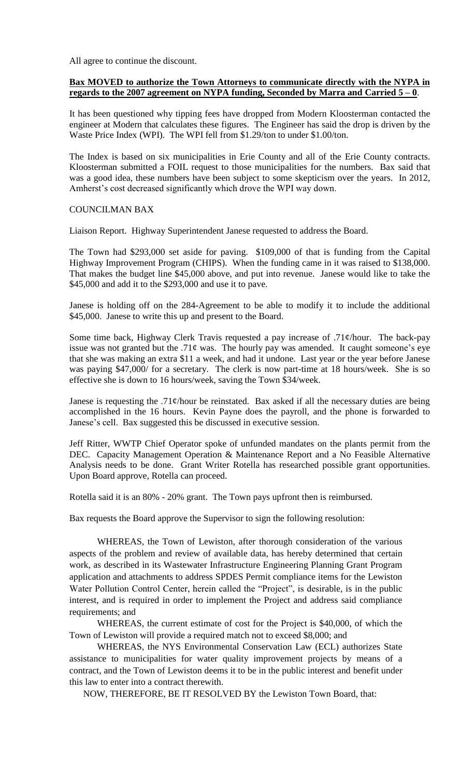All agree to continue the discount.

## **Bax MOVED to authorize the Town Attorneys to communicate directly with the NYPA in regards to the 2007 agreement on NYPA funding, Seconded by Marra and Carried 5 – 0**.

It has been questioned why tipping fees have dropped from Modern Kloosterman contacted the engineer at Modern that calculates these figures. The Engineer has said the drop is driven by the Waste Price Index (WPI). The WPI fell from \$1.29/ton to under \$1.00/ton.

The Index is based on six municipalities in Erie County and all of the Erie County contracts. Kloosterman submitted a FOIL request to those municipalities for the numbers. Bax said that was a good idea, these numbers have been subject to some skepticism over the years. In 2012, Amherst's cost decreased significantly which drove the WPI way down.

### COUNCILMAN BAX

Liaison Report. Highway Superintendent Janese requested to address the Board.

The Town had \$293,000 set aside for paving. \$109,000 of that is funding from the Capital Highway Improvement Program (CHIPS). When the funding came in it was raised to \$138,000. That makes the budget line \$45,000 above, and put into revenue. Janese would like to take the \$45,000 and add it to the \$293,000 and use it to pave.

Janese is holding off on the 284-Agreement to be able to modify it to include the additional \$45,000. Janese to write this up and present to the Board.

Some time back, Highway Clerk Travis requested a pay increase of .71¢/hour. The back-pay issue was not granted but the .71 $\phi$  was. The hourly pay was amended. It caught someone's eye that she was making an extra \$11 a week, and had it undone. Last year or the year before Janese was paying \$47,000/ for a secretary. The clerk is now part-time at 18 hours/week. She is so effective she is down to 16 hours/week, saving the Town \$34/week.

Janese is requesting the .71 $\phi$ /hour be reinstated. Bax asked if all the necessary duties are being accomplished in the 16 hours. Kevin Payne does the payroll, and the phone is forwarded to Janese's cell. Bax suggested this be discussed in executive session.

Jeff Ritter, WWTP Chief Operator spoke of unfunded mandates on the plants permit from the DEC. Capacity Management Operation & Maintenance Report and a No Feasible Alternative Analysis needs to be done. Grant Writer Rotella has researched possible grant opportunities. Upon Board approve, Rotella can proceed.

Rotella said it is an 80% - 20% grant. The Town pays upfront then is reimbursed.

Bax requests the Board approve the Supervisor to sign the following resolution:

WHEREAS, the Town of Lewiston, after thorough consideration of the various aspects of the problem and review of available data, has hereby determined that certain work, as described in its Wastewater Infrastructure Engineering Planning Grant Program application and attachments to address SPDES Permit compliance items for the Lewiston Water Pollution Control Center, herein called the "Project", is desirable, is in the public interest, and is required in order to implement the Project and address said compliance requirements; and

WHEREAS, the current estimate of cost for the Project is \$40,000, of which the Town of Lewiston will provide a required match not to exceed \$8,000; and

WHEREAS, the NYS Environmental Conservation Law (ECL) authorizes State assistance to municipalities for water quality improvement projects by means of a contract, and the Town of Lewiston deems it to be in the public interest and benefit under this law to enter into a contract therewith.

NOW, THEREFORE, BE IT RESOLVED BY the Lewiston Town Board, that: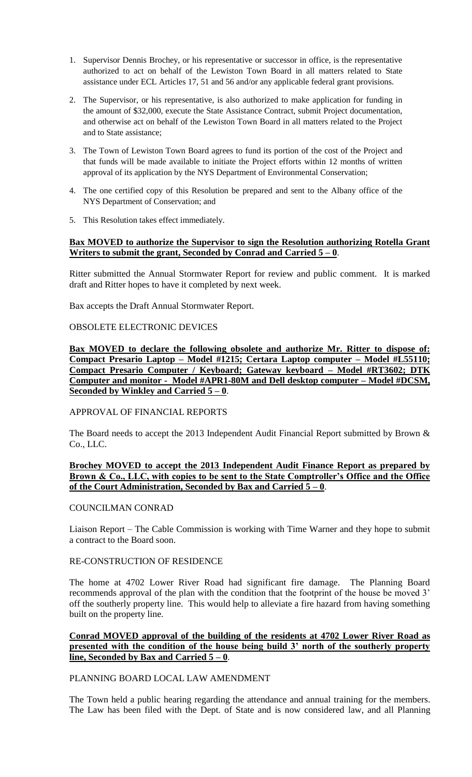- 1. Supervisor Dennis Brochey, or his representative or successor in office, is the representative authorized to act on behalf of the Lewiston Town Board in all matters related to State assistance under ECL Articles 17, 51 and 56 and/or any applicable federal grant provisions.
- 2. The Supervisor, or his representative, is also authorized to make application for funding in the amount of \$32,000, execute the State Assistance Contract, submit Project documentation, and otherwise act on behalf of the Lewiston Town Board in all matters related to the Project and to State assistance;
- 3. The Town of Lewiston Town Board agrees to fund its portion of the cost of the Project and that funds will be made available to initiate the Project efforts within 12 months of written approval of its application by the NYS Department of Environmental Conservation;
- 4. The one certified copy of this Resolution be prepared and sent to the Albany office of the NYS Department of Conservation; and
- 5. This Resolution takes effect immediately.

### **Bax MOVED to authorize the Supervisor to sign the Resolution authorizing Rotella Grant Writers to submit the grant, Seconded by Conrad and Carried 5 – 0**.

Ritter submitted the Annual Stormwater Report for review and public comment. It is marked draft and Ritter hopes to have it completed by next week.

Bax accepts the Draft Annual Stormwater Report.

### OBSOLETE ELECTRONIC DEVICES

**Bax MOVED to declare the following obsolete and authorize Mr. Ritter to dispose of: Compact Presario Laptop – Model #1215; Certara Laptop computer – Model #L55110; Compact Presario Computer / Keyboard; Gateway keyboard – Model #RT3602; DTK Computer and monitor - Model #APR1-80M and Dell desktop computer – Model #DCSM, Seconded by Winkley and Carried 5 – 0**.

## APPROVAL OF FINANCIAL REPORTS

The Board needs to accept the 2013 Independent Audit Financial Report submitted by Brown & Co., LLC.

### **Brochey MOVED to accept the 2013 Independent Audit Finance Report as prepared by Brown & Co., LLC, with copies to be sent to the State Comptroller's Office and the Office of the Court Administration, Seconded by Bax and Carried 5 – 0**.

#### COUNCILMAN CONRAD

Liaison Report – The Cable Commission is working with Time Warner and they hope to submit a contract to the Board soon.

### RE-CONSTRUCTION OF RESIDENCE

The home at 4702 Lower River Road had significant fire damage. The Planning Board recommends approval of the plan with the condition that the footprint of the house be moved 3' off the southerly property line. This would help to alleviate a fire hazard from having something built on the property line.

### **Conrad MOVED approval of the building of the residents at 4702 Lower River Road as presented with the condition of the house being build 3' north of the southerly property line, Seconded by Bax and Carried 5 – 0**.

#### PLANNING BOARD LOCAL LAW AMENDMENT

The Town held a public hearing regarding the attendance and annual training for the members. The Law has been filed with the Dept. of State and is now considered law, and all Planning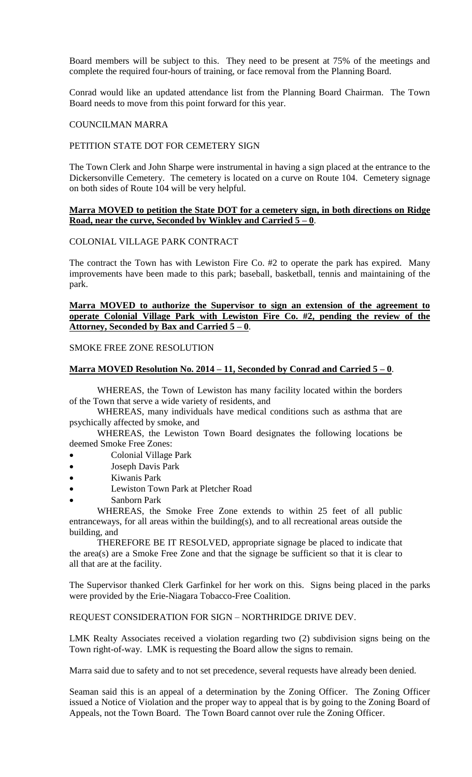Board members will be subject to this. They need to be present at 75% of the meetings and complete the required four-hours of training, or face removal from the Planning Board.

Conrad would like an updated attendance list from the Planning Board Chairman. The Town Board needs to move from this point forward for this year.

#### COUNCILMAN MARRA

### PETITION STATE DOT FOR CEMETERY SIGN

The Town Clerk and John Sharpe were instrumental in having a sign placed at the entrance to the Dickersonville Cemetery. The cemetery is located on a curve on Route 104. Cemetery signage on both sides of Route 104 will be very helpful.

### **Marra MOVED to petition the State DOT for a cemetery sign, in both directions on Ridge Road, near the curve, Seconded by Winkley and Carried 5 – 0**.

# COLONIAL VILLAGE PARK CONTRACT

The contract the Town has with Lewiston Fire Co. #2 to operate the park has expired. Many improvements have been made to this park; baseball, basketball, tennis and maintaining of the park.

### **Marra MOVED to authorize the Supervisor to sign an extension of the agreement to operate Colonial Village Park with Lewiston Fire Co. #2, pending the review of the Attorney, Seconded by Bax and Carried 5 – 0**.

### SMOKE FREE ZONE RESOLUTION

### **Marra MOVED Resolution No. 2014 – 11, Seconded by Conrad and Carried 5 – 0**.

WHEREAS, the Town of Lewiston has many facility located within the borders of the Town that serve a wide variety of residents, and

WHEREAS, many individuals have medical conditions such as asthma that are psychically affected by smoke, and

WHEREAS, the Lewiston Town Board designates the following locations be deemed Smoke Free Zones:

- Colonial Village Park
- Joseph Davis Park
- Kiwanis Park
- Lewiston Town Park at Pletcher Road
- Sanborn Park

WHEREAS, the Smoke Free Zone extends to within 25 feet of all public entranceways, for all areas within the building(s), and to all recreational areas outside the building, and

THEREFORE BE IT RESOLVED, appropriate signage be placed to indicate that the area(s) are a Smoke Free Zone and that the signage be sufficient so that it is clear to all that are at the facility.

The Supervisor thanked Clerk Garfinkel for her work on this. Signs being placed in the parks were provided by the Erie-Niagara Tobacco-Free Coalition.

REQUEST CONSIDERATION FOR SIGN – NORTHRIDGE DRIVE DEV.

LMK Realty Associates received a violation regarding two (2) subdivision signs being on the Town right-of-way. LMK is requesting the Board allow the signs to remain.

Marra said due to safety and to not set precedence, several requests have already been denied.

Seaman said this is an appeal of a determination by the Zoning Officer. The Zoning Officer issued a Notice of Violation and the proper way to appeal that is by going to the Zoning Board of Appeals, not the Town Board. The Town Board cannot over rule the Zoning Officer.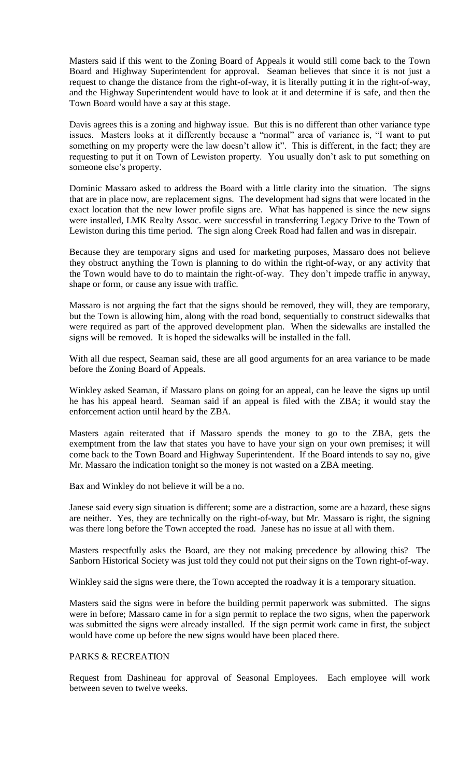Masters said if this went to the Zoning Board of Appeals it would still come back to the Town Board and Highway Superintendent for approval. Seaman believes that since it is not just a request to change the distance from the right-of-way, it is literally putting it in the right-of-way, and the Highway Superintendent would have to look at it and determine if is safe, and then the Town Board would have a say at this stage.

Davis agrees this is a zoning and highway issue. But this is no different than other variance type issues. Masters looks at it differently because a "normal" area of variance is, "I want to put something on my property were the law doesn't allow it". This is different, in the fact; they are requesting to put it on Town of Lewiston property. You usually don't ask to put something on someone else's property.

Dominic Massaro asked to address the Board with a little clarity into the situation. The signs that are in place now, are replacement signs. The development had signs that were located in the exact location that the new lower profile signs are. What has happened is since the new signs were installed, LMK Realty Assoc. were successful in transferring Legacy Drive to the Town of Lewiston during this time period. The sign along Creek Road had fallen and was in disrepair.

Because they are temporary signs and used for marketing purposes, Massaro does not believe they obstruct anything the Town is planning to do within the right-of-way, or any activity that the Town would have to do to maintain the right-of-way. They don't impede traffic in anyway, shape or form, or cause any issue with traffic.

Massaro is not arguing the fact that the signs should be removed, they will, they are temporary, but the Town is allowing him, along with the road bond, sequentially to construct sidewalks that were required as part of the approved development plan. When the sidewalks are installed the signs will be removed. It is hoped the sidewalks will be installed in the fall.

With all due respect, Seaman said, these are all good arguments for an area variance to be made before the Zoning Board of Appeals.

Winkley asked Seaman, if Massaro plans on going for an appeal, can he leave the signs up until he has his appeal heard. Seaman said if an appeal is filed with the ZBA; it would stay the enforcement action until heard by the ZBA.

Masters again reiterated that if Massaro spends the money to go to the ZBA, gets the exemptment from the law that states you have to have your sign on your own premises; it will come back to the Town Board and Highway Superintendent. If the Board intends to say no, give Mr. Massaro the indication tonight so the money is not wasted on a ZBA meeting.

Bax and Winkley do not believe it will be a no.

Janese said every sign situation is different; some are a distraction, some are a hazard, these signs are neither. Yes, they are technically on the right-of-way, but Mr. Massaro is right, the signing was there long before the Town accepted the road. Janese has no issue at all with them.

Masters respectfully asks the Board, are they not making precedence by allowing this? The Sanborn Historical Society was just told they could not put their signs on the Town right-of-way.

Winkley said the signs were there, the Town accepted the roadway it is a temporary situation.

Masters said the signs were in before the building permit paperwork was submitted. The signs were in before; Massaro came in for a sign permit to replace the two signs, when the paperwork was submitted the signs were already installed. If the sign permit work came in first, the subject would have come up before the new signs would have been placed there.

#### PARKS & RECREATION

Request from Dashineau for approval of Seasonal Employees. Each employee will work between seven to twelve weeks.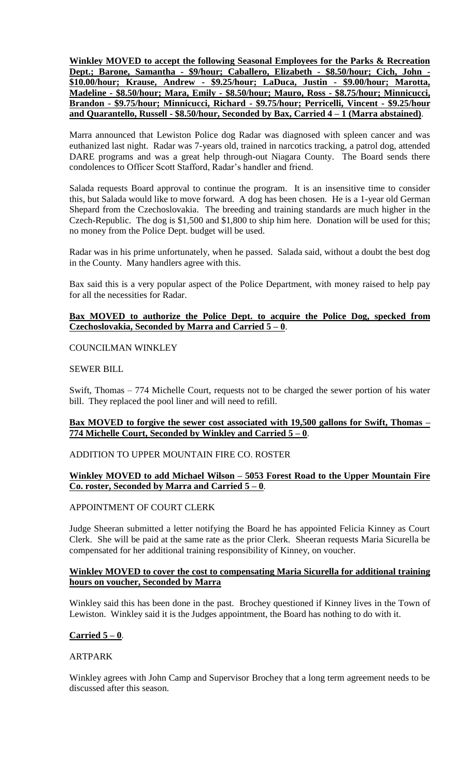**Winkley MOVED to accept the following Seasonal Employees for the Parks & Recreation Dept.; Barone, Samantha - \$9/hour; Caballero, Elizabeth - \$8.50/hour; Cich, John - \$10.00/hour; Krause, Andrew - \$9.25/hour; LaDuca, Justin - \$9.00/hour; Marotta, Madeline - \$8.50/hour; Mara, Emily - \$8.50/hour; Mauro, Ross - \$8.75/hour; Minnicucci, Brandon - \$9.75/hour; Minnicucci, Richard - \$9.75/hour; Perricelli, Vincent - \$9.25/hour and Quarantello, Russell - \$8.50/hour, Seconded by Bax, Carried 4 – 1 (Marra abstained)**.

Marra announced that Lewiston Police dog Radar was diagnosed with spleen cancer and was euthanized last night. Radar was 7-years old, trained in narcotics tracking, a patrol dog, attended DARE programs and was a great help through-out Niagara County. The Board sends there condolences to Officer Scott Stafford, Radar's handler and friend.

Salada requests Board approval to continue the program. It is an insensitive time to consider this, but Salada would like to move forward. A dog has been chosen. He is a 1-year old German Shepard from the Czechoslovakia. The breeding and training standards are much higher in the Czech-Republic. The dog is \$1,500 and \$1,800 to ship him here. Donation will be used for this; no money from the Police Dept. budget will be used.

Radar was in his prime unfortunately, when he passed. Salada said, without a doubt the best dog in the County. Many handlers agree with this.

Bax said this is a very popular aspect of the Police Department, with money raised to help pay for all the necessities for Radar.

## **Bax MOVED to authorize the Police Dept. to acquire the Police Dog, specked from Czechoslovakia, Seconded by Marra and Carried 5 – 0**.

## COUNCILMAN WINKLEY

## SEWER BILL

Swift, Thomas – 774 Michelle Court, requests not to be charged the sewer portion of his water bill. They replaced the pool liner and will need to refill.

## **Bax MOVED to forgive the sewer cost associated with 19,500 gallons for Swift, Thomas – 774 Michelle Court, Seconded by Winkley and Carried 5 – 0**.

## ADDITION TO UPPER MOUNTAIN FIRE CO. ROSTER

## **Winkley MOVED to add Michael Wilson – 5053 Forest Road to the Upper Mountain Fire Co. roster, Seconded by Marra and Carried 5 – 0**.

## APPOINTMENT OF COURT CLERK

Judge Sheeran submitted a letter notifying the Board he has appointed Felicia Kinney as Court Clerk. She will be paid at the same rate as the prior Clerk. Sheeran requests Maria Sicurella be compensated for her additional training responsibility of Kinney, on voucher.

### **Winkley MOVED to cover the cost to compensating Maria Sicurella for additional training hours on voucher, Seconded by Marra**

Winkley said this has been done in the past. Brochey questioned if Kinney lives in the Town of Lewiston. Winkley said it is the Judges appointment, the Board has nothing to do with it.

## **Carried 5 – 0**.

#### ARTPARK

Winkley agrees with John Camp and Supervisor Brochey that a long term agreement needs to be discussed after this season.